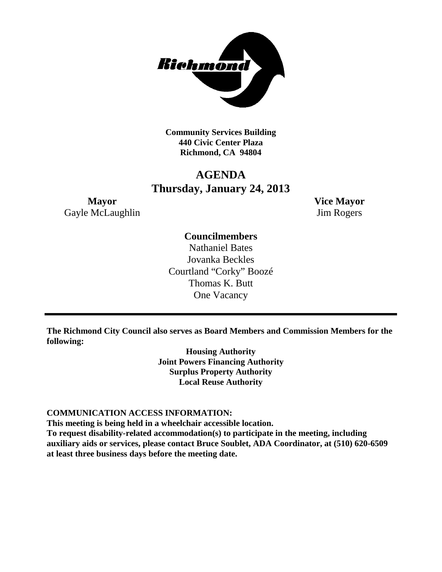

**Community Services Building 440 Civic Center Plaza Richmond, CA 94804**

# **AGENDA Thursday, January 24, 2013**

**Mayor Vice Mayor** Gayle McLaughlin Jim Rogers

# **Councilmembers**

Nathaniel Bates Jovanka Beckles Courtland "Corky" Boozé Thomas K. Butt One Vacancy

**The Richmond City Council also serves as Board Members and Commission Members for the following:**

> **Housing Authority Joint Powers Financing Authority Surplus Property Authority Local Reuse Authority**

# **COMMUNICATION ACCESS INFORMATION:**

**This meeting is being held in a wheelchair accessible location.**

**To request disability-related accommodation(s) to participate in the meeting, including auxiliary aids or services, please contact Bruce Soublet, ADA Coordinator, at (510) 620-6509 at least three business days before the meeting date.**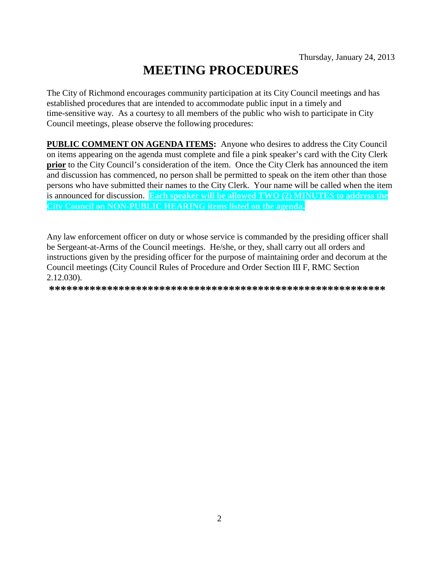# **MEETING PROCEDURES**

The City of Richmond encourages community participation at its City Council meetings and has established procedures that are intended to accommodate public input in a timely and time-sensitive way. As a courtesy to all members of the public who wish to participate in City Council meetings, please observe the following procedures:

**PUBLIC COMMENT ON AGENDA ITEMS:** Anyone who desires to address the City Council on items appearing on the agenda must complete and file a pink speaker's card with the City Clerk prior to the City Council's consideration of the item. Once the City Clerk has announced the item and discussion has commenced, no person shall be permitted to speak on the item other than those persons who have submitted their names to the City Clerk. Your name will be called when the item is announced for discussion. Each speaker will be allowed TWO (2) MINUTES to address the City Council on NON-PUBLIC HEARING items listed on the agenda.

Any law enforcement officer on duty or whose service is commanded by the presiding officer shall be Sergeant-at-Arms of the Council meetings. He/she, or they, shall carry out all orders and instructions given by the presiding officer for the purpose of maintaining order and decorum at the Council meetings (City Council Rules of Procedure and Order Section III F, RMC Section 2.12.030).